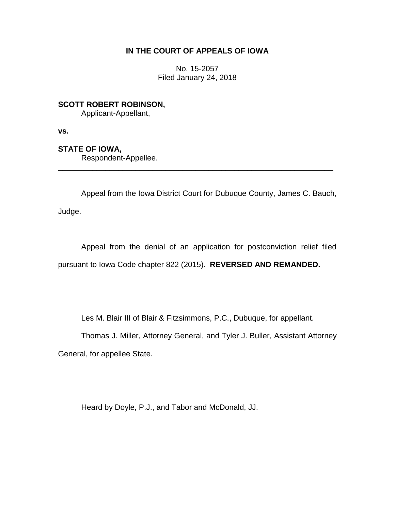## **IN THE COURT OF APPEALS OF IOWA**

No. 15-2057 Filed January 24, 2018

**SCOTT ROBERT ROBINSON,** Applicant-Appellant,

**vs.**

**STATE OF IOWA,**

Respondent-Appellee.

Appeal from the Iowa District Court for Dubuque County, James C. Bauch, Judge.

\_\_\_\_\_\_\_\_\_\_\_\_\_\_\_\_\_\_\_\_\_\_\_\_\_\_\_\_\_\_\_\_\_\_\_\_\_\_\_\_\_\_\_\_\_\_\_\_\_\_\_\_\_\_\_\_\_\_\_\_\_\_\_\_

Appeal from the denial of an application for postconviction relief filed pursuant to Iowa Code chapter 822 (2015). **REVERSED AND REMANDED.** 

Les M. Blair III of Blair & Fitzsimmons, P.C., Dubuque, for appellant.

Thomas J. Miller, Attorney General, and Tyler J. Buller, Assistant Attorney

General, for appellee State.

Heard by Doyle, P.J., and Tabor and McDonald, JJ.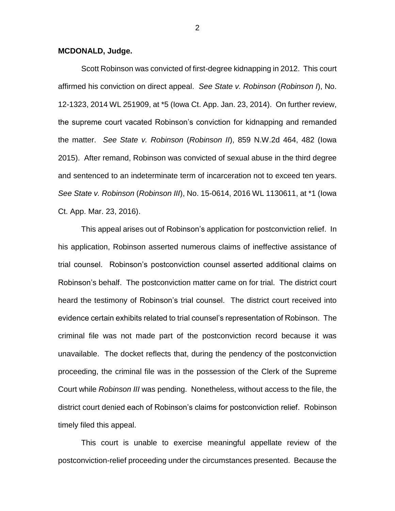## **MCDONALD, Judge.**

Scott Robinson was convicted of first-degree kidnapping in 2012. This court affirmed his conviction on direct appeal. *See State v. Robinson* (*Robinson I*), No. 12-1323, 2014 WL 251909, at \*5 (Iowa Ct. App. Jan. 23, 2014). On further review, the supreme court vacated Robinson's conviction for kidnapping and remanded the matter. *See State v. Robinson* (*Robinson II*), 859 N.W.2d 464, 482 (Iowa 2015). After remand, Robinson was convicted of sexual abuse in the third degree and sentenced to an indeterminate term of incarceration not to exceed ten years. *See State v. Robinson* (*Robinson III*), No. 15-0614, 2016 WL 1130611, at \*1 (Iowa Ct. App. Mar. 23, 2016).

This appeal arises out of Robinson's application for postconviction relief. In his application, Robinson asserted numerous claims of ineffective assistance of trial counsel. Robinson's postconviction counsel asserted additional claims on Robinson's behalf. The postconviction matter came on for trial. The district court heard the testimony of Robinson's trial counsel. The district court received into evidence certain exhibits related to trial counsel's representation of Robinson. The criminal file was not made part of the postconviction record because it was unavailable. The docket reflects that, during the pendency of the postconviction proceeding, the criminal file was in the possession of the Clerk of the Supreme Court while *Robinson III* was pending. Nonetheless, without access to the file, the district court denied each of Robinson's claims for postconviction relief. Robinson timely filed this appeal.

This court is unable to exercise meaningful appellate review of the postconviction-relief proceeding under the circumstances presented. Because the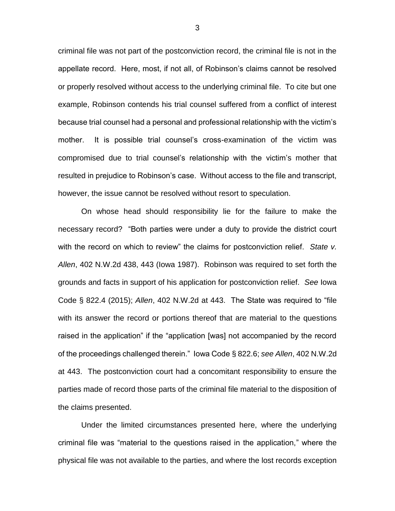criminal file was not part of the postconviction record, the criminal file is not in the appellate record. Here, most, if not all, of Robinson's claims cannot be resolved or properly resolved without access to the underlying criminal file. To cite but one example, Robinson contends his trial counsel suffered from a conflict of interest because trial counsel had a personal and professional relationship with the victim's mother. It is possible trial counsel's cross-examination of the victim was compromised due to trial counsel's relationship with the victim's mother that resulted in prejudice to Robinson's case. Without access to the file and transcript, however, the issue cannot be resolved without resort to speculation.

On whose head should responsibility lie for the failure to make the necessary record? "Both parties were under a duty to provide the district court with the record on which to review" the claims for postconviction relief. *State v. Allen*, 402 N.W.2d 438, 443 (Iowa 1987). Robinson was required to set forth the grounds and facts in support of his application for postconviction relief. *See* Iowa Code § 822.4 (2015); *Allen*, 402 N.W.2d at 443. The State was required to "file with its answer the record or portions thereof that are material to the questions raised in the application" if the "application [was] not accompanied by the record of the proceedings challenged therein." Iowa Code § 822.6; *see Allen*, 402 N.W.2d at 443. The postconviction court had a concomitant responsibility to ensure the parties made of record those parts of the criminal file material to the disposition of the claims presented.

Under the limited circumstances presented here, where the underlying criminal file was "material to the questions raised in the application," where the physical file was not available to the parties, and where the lost records exception